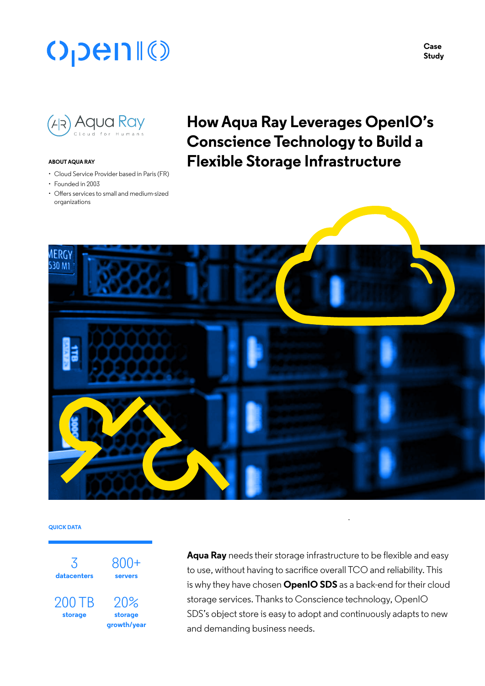# **OpenIO**

**Case Study**



#### **ABOUT AQUA RAY**

- Cloud Service Provider based in Paris (FR)
- Founded in 2003
- Offers services to small and medium-sized organizations

# **How Aqua Ray Leverages OpenIO's Conscience Technology to Build a Flexible Storage Infrastructure**



#### **QUICK DATA**



**Aqua Ray** needs their storage infrastructure to be flexible and easy to use, without having to sacrifice overall TCO and reliability. This is why they have chosen **OpenIO SDS** as a back-end for their cloud storage services. Thanks to Conscience technology, OpenIO SDS's object store is easy to adopt and continuously adapts to new and demanding business needs.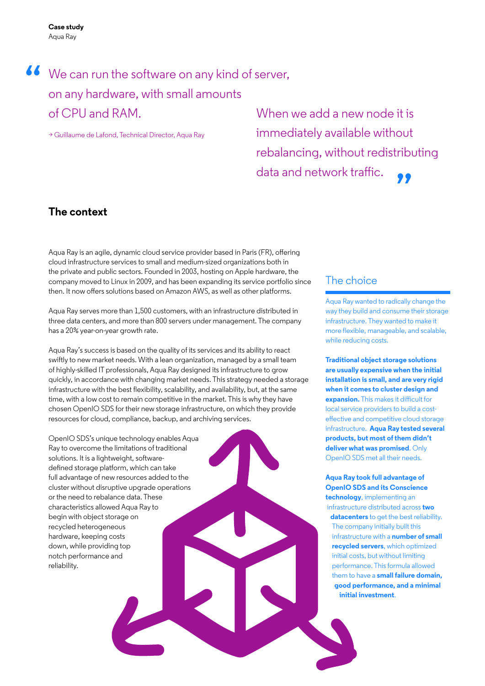# We can run the software on any kind of server,<br>
on any hardware, with small amounts on any hardware, with small amounts of CPU and RAM.

> Guillaume de Lafond, Technical Director, Aqua Ray

When we add a new node it is immediately available without rebalancing, without redistributing data and network traffic.

# **The context**

Aqua Ray is an agile, dynamic cloud service provider based in Paris (FR), offering cloud infrastructure services to small and medium-sized organizations both in the private and public sectors. Founded in 2003, hosting on Apple hardware, the company moved to Linux in 2009, and has been expanding its service portfolio since then. It now offers solutions based on Amazon AWS, as well as other platforms.

Aqua Ray serves more than 1,500 customers, with an infrastructure distributed in three data centers, and more than 800 servers under management. The company has a 20% year-on-year growth rate.

Aqua Ray's success is based on the quality of its services and its ability to react swiftly to new market needs. With a lean organization, managed by a small team of highly-skilled IT professionals, Aqua Ray designed its infrastructure to grow quickly, in accordance with changing market needs. This strategy needed a storage infrastructure with the best flexibility, scalability, and availability, but, at the same time, with a low cost to remain competitive in the market. This is why they have chosen OpenIO SDS for their new storage infrastructure, on which they provide resources for cloud, compliance, backup, and archiving services.

OpenIO SDS's unique technology enables Aqua Ray to overcome the limitations of traditional solutions. It is a lightweight, softwaredefined storage platform, which can take full advantage of new resources added to the cluster without disruptive upgrade operations or the need to rebalance data. These characteristics allowed Aqua Ray to begin with object storage on recycled heterogeneous hardware, keeping costs down, while providing top notch performance and reliability.

## The choice

Aqua Ray wanted to radically change the way they build and consume their storage infrastructure. They wanted to make it more flexible, manageable, and scalable, while reducing costs.

**Traditional object storage solutions are usually expensive when the initial installation is small, and are very rigid when it comes to cluster design and expansion.** This makes it difficult for local service providers to build a costeffective and competitive cloud storage infrastructure. **Aqua Ray tested several products, but most of them didn't deliver what was promised**. Only OpenIO SDS met all their needs.

**Aqua Ray took full advantage of OpenIO SDS and its Conscience technology**, implementing an infrastructure distributed across **two datacenters** to get the best reliability. The company initially built this infrastructure with a **number of small recycled servers**, which optimized initial costs, but without limiting performance. This formula allowed them to have a **small failure domain, good performance, and a minimal initial investment**.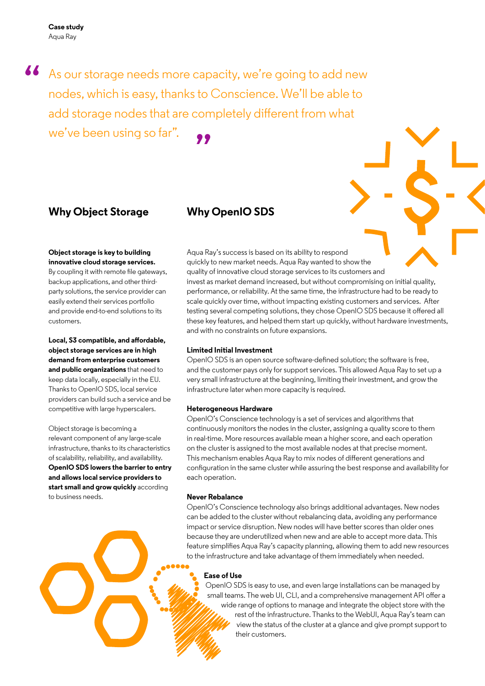**Case study** Aqua Ray

44 As our storage needs more capacity, we're going to add new nodes, which is easy, thanks to Conscience. We'll be able to nodes, which is easy, thanks to Conscience. We'll be able to add storage nodes that are completely different from what we've been using so far". **"** 

## **Why Object Storage**

# **Why OpenIO SDS**

### **Object storage is key to building innovative cloud storage services.**

By coupling it with remote file gateways, backup applications, and other thirdparty solutions, the service provider can easily extend their services portfolio and provide end-to-end solutions to its customers.

**Local, S3 compatible, and affordable, object storage services are in high demand from enterprise customers and public organizations** that need to keep data locally, especially in the EU. Thanks to OpenIO SDS, local service providers can build such a service and be competitive with large hyperscalers.

Object storage is becoming a relevant component of any large-scale infrastructure, thanks to its characteristics of scalability, reliability, and availability. **OpenIO SDS lowers the barrier to entry and allows local service providers to start small and grow quickly** according to business needs.

Aqua Ray's success is based on its ability to respond quickly to new market needs. Aqua Ray wanted to show the quality of innovative cloud storage services to its customers and invest as market demand increased, but without compromising on initial quality, performance, or reliability. At the same time, the infrastructure had to be ready to scale quickly over time, without impacting existing customers and services. After testing several competing solutions, they chose OpenIO SDS because it offered all these key features, and helped them start up quickly, without hardware investments, and with no constraints on future expansions.

### **Limited Initial Investment**

OpenIO SDS is an open source software-defined solution; the software is free, and the customer pays only for support services. This allowed Aqua Ray to set up a very small infrastructure at the beginning, limiting their investment, and grow the infrastructure later when more capacity is required.

### **Heterogeneous Hardware**

OpenIO's Conscience technology is a set of services and algorithms that continuously monitors the nodes in the cluster, assigning a quality score to them in real-time. More resources available mean a higher score, and each operation on the cluster is assigned to the most available nodes at that precise moment. This mechanism enables Aqua Ray to mix nodes of different generations and configuration in the same cluster while assuring the best response and availability for each operation.

## **Never Rebalance**

OpenIO's Conscience technology also brings additional advantages. New nodes can be added to the cluster without rebalancing data, avoiding any performance impact or service disruption. New nodes will have better scores than older ones because they are underutilized when new and are able to accept more data. This feature simplifies Aqua Ray's capacity planning, allowing them to add new resources to the infrastructure and take advantage of them immediately when needed.

### **Ease of Use**

OpenIO SDS is easy to use, and even large installations can be managed by small teams. The web UI, CLI, and a comprehensive management API offer a wide range of options to manage and integrate the object store with the rest of the infrastructure. Thanks to the WebUI, Aqua Ray's team can view the status of the cluster at a glance and give prompt support to their customers.